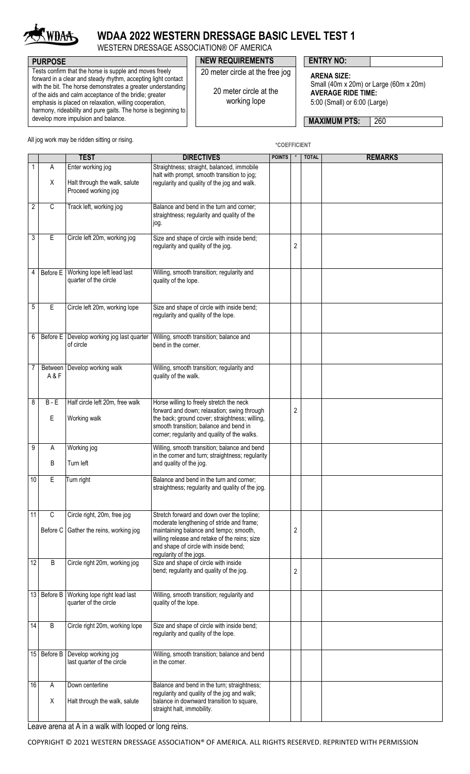

# **WDAA 2022 WESTERN DRESSAGE BASIC LEVEL TEST 1**

WESTERN DRESSAGE ASSOCIATION® OF AMERICA

### **PURPOSE PURPOSE ENTRY NO:**

Tests confirm that the horse is supple and moves freely forward in a clear and steady rhythm, accepting light contact with the bit. The horse demonstrates a greater understanding of the aids and calm acceptance of the bridle; greater emphasis is placed on relaxation, willing cooperation, harmony, rideability and pure gaits. The horse is beginning to develop more impulsion and balance.

#### 20 meter circle at the working lope

20 meter circle at the free jog

#### **ARENA SIZE:** Small (40m x 20m) or Large (60m x 20m) **AVERAGE RIDE TIME:**

5:00 (Small) or 6:00 (Large)

**MAXIMUM PTS: 260** 

All jog work may be ridden sitting or rising.

**\*COEFFICIENT**

|                 |                        | <b>TEST</b>                                                           | <b>DIRECTIVES</b>                                                                                                                                                                                                                                      | <b>POINTS</b> | $\ast$         | <b>TOTAL</b> | <b>REMARKS</b> |
|-----------------|------------------------|-----------------------------------------------------------------------|--------------------------------------------------------------------------------------------------------------------------------------------------------------------------------------------------------------------------------------------------------|---------------|----------------|--------------|----------------|
| $\mathbf{1}$    | Α                      | Enter working jog                                                     | Straightness; straight, balanced, immobile<br>halt with prompt, smooth transition to jog;                                                                                                                                                              |               |                |              |                |
|                 | X                      | Halt through the walk, salute<br>Proceed working jog                  | regularity and quality of the jog and walk.                                                                                                                                                                                                            |               |                |              |                |
| 2               | $\overline{C}$         | Track left, working jog                                               | Balance and bend in the turn and corner;<br>straightness; regularity and quality of the<br>jog.                                                                                                                                                        |               |                |              |                |
| 3               | $\overline{E}$         | Circle left 20m, working jog                                          | Size and shape of circle with inside bend;<br>regularity and quality of the jog.                                                                                                                                                                       |               | $\overline{2}$ |              |                |
| 4               | Before E               | Working lope left lead last<br>quarter of the circle                  | Willing, smooth transition; regularity and<br>quality of the lope.                                                                                                                                                                                     |               |                |              |                |
| 5               | $\overline{E}$         | Circle left 20m, working lope                                         | Size and shape of circle with inside bend;<br>regularity and quality of the lope.                                                                                                                                                                      |               |                |              |                |
| 6               |                        | Before E   Develop working jog last quarter<br>of circle              | Willing, smooth transition; balance and<br>bend in the corner.                                                                                                                                                                                         |               |                |              |                |
| 7               | A & F                  | Between   Develop working walk                                        | Willing, smooth transition; regularity and<br>quality of the walk.                                                                                                                                                                                     |               |                |              |                |
| 8               | $B - E$<br>$\mathsf E$ | Half circle left 20m, free walk<br>Working walk                       | Horse willing to freely stretch the neck<br>forward and down; relaxation; swing through<br>the back; ground cover; straightness; willing,<br>smooth transition; balance and bend in<br>corner; regularity and quality of the walks.                    |               | $\overline{2}$ |              |                |
| 9               | Α<br>B                 | Working jog<br>Turn left                                              | Willing, smooth transition; balance and bend<br>in the corner and turn; straightness; regularity<br>and quality of the jog.                                                                                                                            |               |                |              |                |
| 10              | Е                      | Turn right                                                            | Balance and bend in the turn and corner;<br>straightness; regularity and quality of the jog.                                                                                                                                                           |               |                |              |                |
| 11              | C                      | Circle right, 20m, free jog<br>Before C Gather the reins, working jog | Stretch forward and down over the topline;<br>moderate lengthening of stride and frame;<br>maintaining balance and tempo; smooth,<br>willing release and retake of the reins; size<br>and shape of circle with inside bend;<br>regularity of the jogs. |               | $\overline{2}$ |              |                |
| $\overline{12}$ | B                      | Circle right 20m, working jog                                         | Size and shape of circle with inside<br>bend; regularity and quality of the jog.                                                                                                                                                                       |               | $\overline{2}$ |              |                |
| 13              |                        | Before B   Working lope right lead last<br>quarter of the circle      | Willing, smooth transition; regularity and<br>quality of the lope.                                                                                                                                                                                     |               |                |              |                |
| 14              | B                      | Circle right 20m, working lope                                        | Size and shape of circle with inside bend;<br>regularity and quality of the lope.                                                                                                                                                                      |               |                |              |                |
| 15              | Before B               | Develop working jog<br>last quarter of the circle                     | Willing, smooth transition; balance and bend<br>in the corner.                                                                                                                                                                                         |               |                |              |                |
| 16              | Α<br>Χ                 | Down centerline<br>Halt through the walk, salute                      | Balance and bend in the turn; straightness;<br>regularity and quality of the jog and walk;<br>balance in downward transition to square,<br>straight halt, immobility.                                                                                  |               |                |              |                |
|                 |                        |                                                                       |                                                                                                                                                                                                                                                        |               |                |              |                |

Leave arena at A in a walk with looped or long reins.

COPYRIGHT © 2021 WESTERN DRESSAGE ASSOCIATION® OF AMERICA. ALL RIGHTS RESERVED. REPRINTED WITH PERMISSION